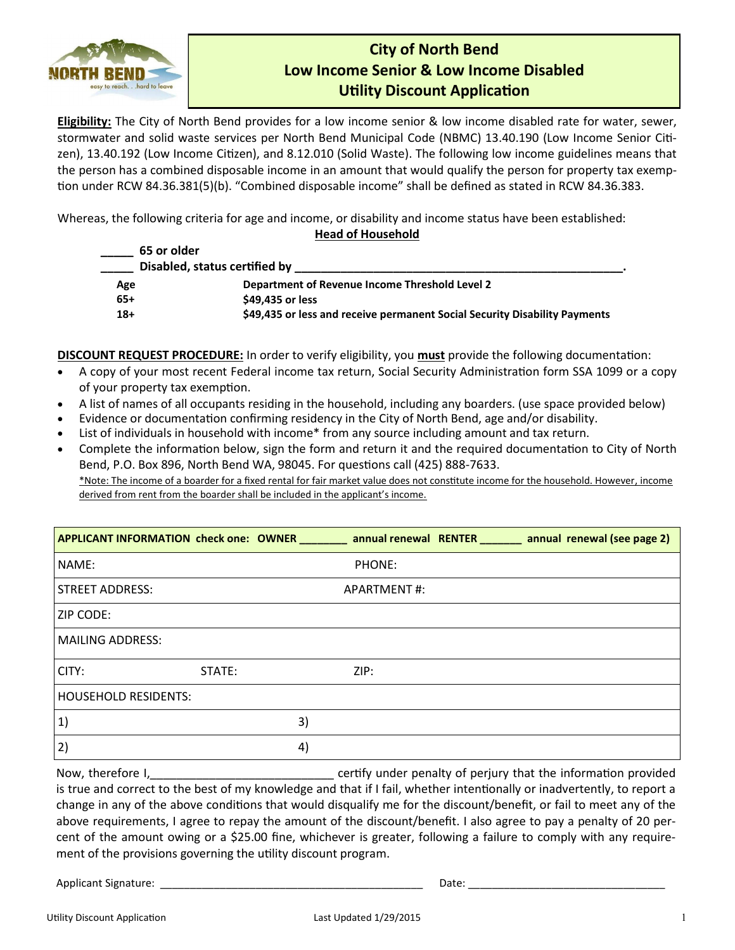

## **City of North Bend Low Income Senior & Low Income Disabled Utility Discount Application**

**Eligibility:** The City of North Bend provides for a low income senior & low income disabled rate for water, sewer, stormwater and solid waste services per North Bend Municipal Code (NBMC) 13.40.190 (Low Income Senior Citizen), 13.40.192 (Low Income Citizen), and 8.12.010 (Solid Waste). The following low income guidelines means that the person has a combined disposable income in an amount that would qualify the person for property tax exemption under RCW 84.36.381(5)(b). "Combined disposable income" shall be defined as stated in RCW 84.36.383.

Whereas, the following criteria for age and income, or disability and income status have been established:

| <b>Head of Household</b> |                                                                            |  |  |  |  |
|--------------------------|----------------------------------------------------------------------------|--|--|--|--|
| 65 or older              |                                                                            |  |  |  |  |
|                          | Disabled, status certified by                                              |  |  |  |  |
| Age                      | Department of Revenue Income Threshold Level 2                             |  |  |  |  |
| $65+$                    | \$49,435 or less                                                           |  |  |  |  |
| $18+$                    | \$49,435 or less and receive permanent Social Security Disability Payments |  |  |  |  |

**DISCOUNT REQUEST PROCEDURE:** In order to verify eligibility, you **must** provide the following documentation:

- A copy of your most recent Federal income tax return, Social Security Administration form SSA 1099 or a copy of your property tax exemption.
- A list of names of all occupants residing in the household, including any boarders. (use space provided below)
- Evidence or documentation confirming residency in the City of North Bend, age and/or disability.
- List of individuals in household with income\* from any source including amount and tax return.
- Complete the information below, sign the form and return it and the required documentation to City of North Bend, P.O. Box 896, North Bend WA, 98045. For questions call (425) 888-7633. \*Note: The income of a boarder for a fixed rental for fair market value does not constitute income for the household. However, income derived from rent from the boarder shall be included in the applicant's income.

|                             |        |    |                    |  | APPLICANT INFORMATION check one: OWNER ________ annual renewal RENTER ______ annual renewal (see page 2) |  |  |
|-----------------------------|--------|----|--------------------|--|----------------------------------------------------------------------------------------------------------|--|--|
| NAME:                       |        |    | PHONE:             |  |                                                                                                          |  |  |
| STREET ADDRESS:             |        |    | <b>APARTMENT#:</b> |  |                                                                                                          |  |  |
| <b>ZIP CODE:</b>            |        |    |                    |  |                                                                                                          |  |  |
| <b>MAILING ADDRESS:</b>     |        |    |                    |  |                                                                                                          |  |  |
| CITY:                       | STATE: |    | ZIP:               |  |                                                                                                          |  |  |
| <b>HOUSEHOLD RESIDENTS:</b> |        |    |                    |  |                                                                                                          |  |  |
| 1)                          |        | 3) |                    |  |                                                                                                          |  |  |
| 2)                          |        | 4) |                    |  |                                                                                                          |  |  |

Now, therefore I,\_\_\_\_\_\_\_\_\_\_\_\_\_\_\_\_\_\_\_\_\_\_\_\_\_\_\_\_ certify under penalty of perjury that the information provided is true and correct to the best of my knowledge and that if I fail, whether intentionally or inadvertently, to report a change in any of the above conditions that would disqualify me for the discount/benefit, or fail to meet any of the above requirements, I agree to repay the amount of the discount/benefit. I also agree to pay a penalty of 20 percent of the amount owing or a \$25.00 fine, whichever is greater, following a failure to comply with any requirement of the provisions governing the utility discount program.

Applicant Signature: \_\_\_\_\_\_\_\_\_\_\_\_\_\_\_\_\_\_\_\_\_\_\_\_\_\_\_\_\_\_\_\_\_\_\_\_\_\_\_\_\_\_\_\_ Date: \_\_\_\_\_\_\_\_\_\_\_\_\_\_\_\_\_\_\_\_\_\_\_\_\_\_\_\_\_\_\_\_\_